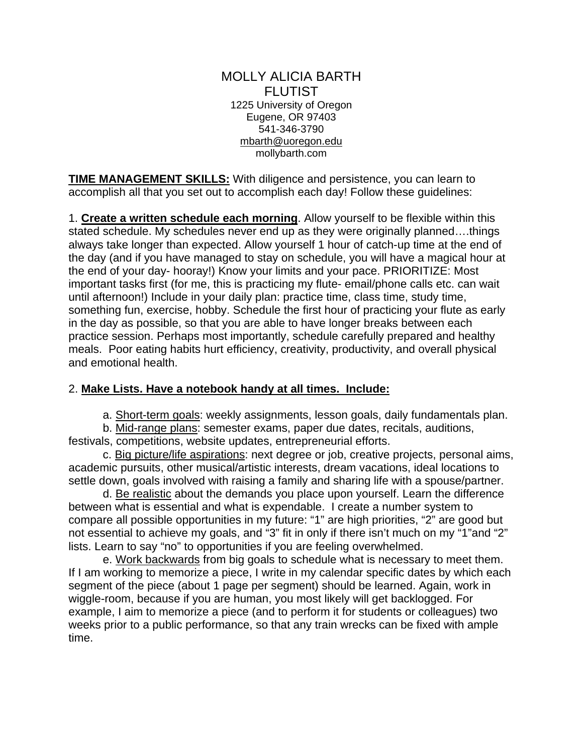#### MOLLY ALICIA BARTH FLUTIST 1225 University of Oregon Eugene, OR 97403 541-346-3790 mbarth@uoregon.edu mollybarth.com

**TIME MANAGEMENT SKILLS:** With diligence and persistence, you can learn to accomplish all that you set out to accomplish each day! Follow these guidelines:

1. **Create a written schedule each morning**. Allow yourself to be flexible within this stated schedule. My schedules never end up as they were originally planned….things always take longer than expected. Allow yourself 1 hour of catch-up time at the end of the day (and if you have managed to stay on schedule, you will have a magical hour at the end of your day- hooray!) Know your limits and your pace. PRIORITIZE: Most important tasks first (for me, this is practicing my flute- email/phone calls etc. can wait until afternoon!) Include in your daily plan: practice time, class time, study time, something fun, exercise, hobby. Schedule the first hour of practicing your flute as early in the day as possible, so that you are able to have longer breaks between each practice session. Perhaps most importantly, schedule carefully prepared and healthy meals. Poor eating habits hurt efficiency, creativity, productivity, and overall physical and emotional health.

# 2. **Make Lists. Have a notebook handy at all times. Include:**

a. Short-term goals: weekly assignments, lesson goals, daily fundamentals plan.

 b. Mid-range plans: semester exams, paper due dates, recitals, auditions, festivals, competitions, website updates, entrepreneurial efforts.

 c. Big picture/life aspirations: next degree or job, creative projects, personal aims, academic pursuits, other musical/artistic interests, dream vacations, ideal locations to settle down, goals involved with raising a family and sharing life with a spouse/partner.

 d. Be realistic about the demands you place upon yourself. Learn the difference between what is essential and what is expendable. I create a number system to compare all possible opportunities in my future: "1" are high priorities, "2" are good but not essential to achieve my goals, and "3" fit in only if there isn't much on my "1"and "2" lists. Learn to say "no" to opportunities if you are feeling overwhelmed.

e. Work backwards from big goals to schedule what is necessary to meet them. If I am working to memorize a piece, I write in my calendar specific dates by which each segment of the piece (about 1 page per segment) should be learned. Again, work in wiggle-room, because if you are human, you most likely will get backlogged. For example, I aim to memorize a piece (and to perform it for students or colleagues) two weeks prior to a public performance, so that any train wrecks can be fixed with ample time.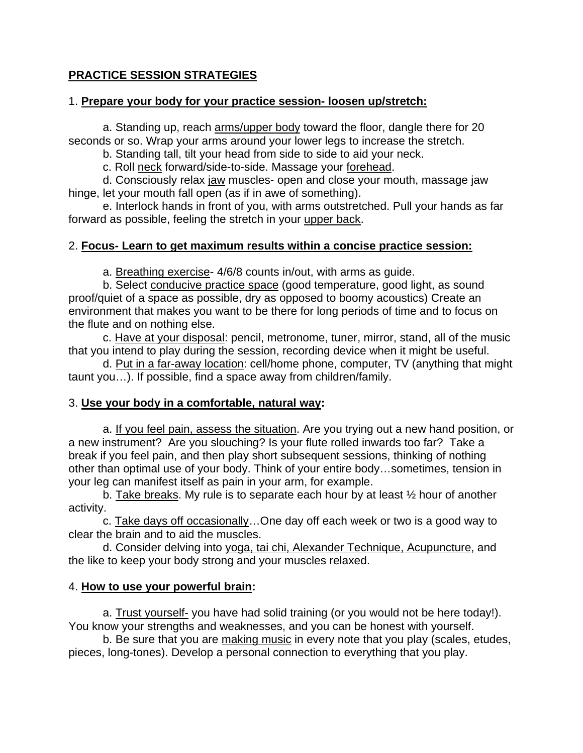# **PRACTICE SESSION STRATEGIES**

#### 1. **Prepare your body for your practice session- loosen up/stretch:**

 a. Standing up, reach arms/upper body toward the floor, dangle there for 20 seconds or so. Wrap your arms around your lower legs to increase the stretch.

b. Standing tall, tilt your head from side to side to aid your neck.

c. Roll neck forward/side-to-side. Massage your forehead.

 d. Consciously relax jaw muscles- open and close your mouth, massage jaw hinge, let your mouth fall open (as if in awe of something).

 e. Interlock hands in front of you, with arms outstretched. Pull your hands as far forward as possible, feeling the stretch in your upper back.

# 2. **Focus- Learn to get maximum results within a concise practice session:**

a. Breathing exercise- 4/6/8 counts in/out, with arms as guide.

 b. Select conducive practice space (good temperature, good light, as sound proof/quiet of a space as possible, dry as opposed to boomy acoustics) Create an environment that makes you want to be there for long periods of time and to focus on the flute and on nothing else.

 c. Have at your disposal: pencil, metronome, tuner, mirror, stand, all of the music that you intend to play during the session, recording device when it might be useful.

 d. Put in a far-away location: cell/home phone, computer, TV (anything that might taunt you…). If possible, find a space away from children/family.

# 3. **Use your body in a comfortable, natural way:**

a. If you feel pain, assess the situation. Are you trying out a new hand position, or a new instrument? Are you slouching? Is your flute rolled inwards too far? Take a break if you feel pain, and then play short subsequent sessions, thinking of nothing other than optimal use of your body. Think of your entire body…sometimes, tension in your leg can manifest itself as pain in your arm, for example.

b. Take breaks. My rule is to separate each hour by at least ½ hour of another activity.

c. Take days off occasionally... One day off each week or two is a good way to clear the brain and to aid the muscles.

d. Consider delving into yoga, tai chi, Alexander Technique, Acupuncture, and the like to keep your body strong and your muscles relaxed.

# 4. **How to use your powerful brain:**

 a. Trust yourself- you have had solid training (or you would not be here today!). You know your strengths and weaknesses, and you can be honest with yourself.

 b. Be sure that you are making music in every note that you play (scales, etudes, pieces, long-tones). Develop a personal connection to everything that you play.